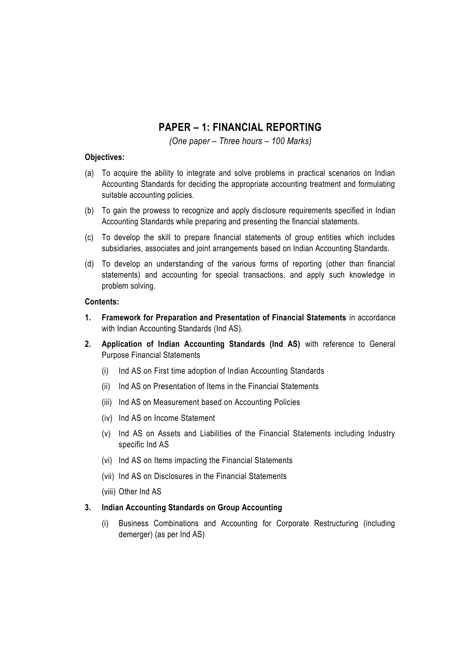# **PAPER – 1: FINANCIAL REPORTING**

*(One paper – Three hours – 100 Marks)*

#### **Objectives:**

- (a) To acquire the ability to integrate and solve problems in practical scenarios on Indian Accounting Standards for deciding the appropriate accounting treatment and formulating suitable accounting policies.
- (b) To gain the prowess to recognize and apply disclosure requirements specified in Indian Accounting Standards while preparing and presenting the financial statements.
- (c) To develop the skill to prepare financial statements of group entities which includes subsidiaries, associates and joint arrangements based on Indian Accounting Standards.
- (d) To develop an understanding of the various forms of reporting (other than financial statements) and accounting for special transactions, and apply such knowledge in problem solving.

#### **Contents:**

- **1. Framework for Preparation and Presentation of Financial Statements** in accordance with Indian Accounting Standards (Ind AS).
- **2. Application of Indian Accounting Standards (Ind AS)** with reference to General Purpose Financial Statements
	- (i) Ind AS on First time adoption of Indian Accounting Standards
	- (ii) Ind AS on Presentation of Items in the Financial Statements
	- (iii) Ind AS on Measurement based on Accounting Policies
	- (iv) Ind AS on Income Statement
	- (v) Ind AS on Assets and Liabilities of the Financial Statements including Industry specific Ind AS
	- (vi) Ind AS on Items impacting the Financial Statements
	- (vii) Ind AS on Disclosures in the Financial Statements
	- (viii) Other Ind AS

#### **3. Indian Accounting Standards on Group Accounting**

(i) Business Combinations and Accounting for Corporate Restructuring (including demerger) (as per Ind AS)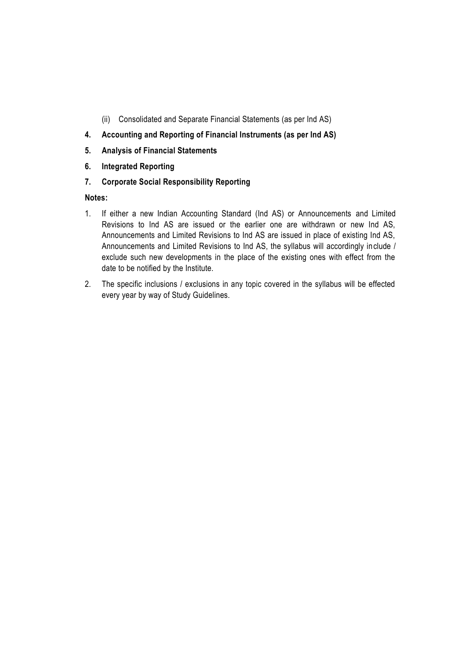- (ii) Consolidated and Separate Financial Statements (as per Ind AS)
- **4. Accounting and Reporting of Financial Instruments (as per Ind AS)**
- **5. Analysis of Financial Statements**
- **6. Integrated Reporting**
- **7. Corporate Social Responsibility Reporting**

#### **Notes:**

- 1. If either a new Indian Accounting Standard (Ind AS) or Announcements and Limited Revisions to Ind AS are issued or the earlier one are withdrawn or new Ind AS, Announcements and Limited Revisions to Ind AS are issued in place of existing Ind AS, Announcements and Limited Revisions to Ind AS, the syllabus will accordingly include / exclude such new developments in the place of the existing ones with effect from the date to be notified by the Institute.
- 2. The specific inclusions / exclusions in any topic covered in the syllabus will be effected every year by way of Study Guidelines.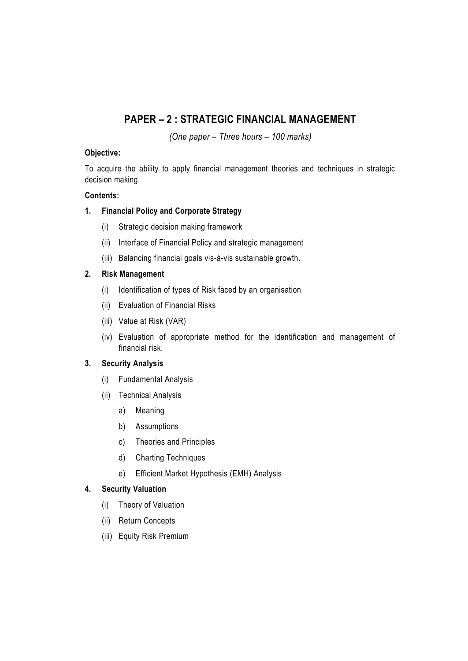# **PAPER – 2 : STRATEGIC FINANCIAL MANAGEMENT**

*(One paper – Three hours – 100 marks)*

## **Objective:**

To acquire the ability to apply financial management theories and techniques in strategic decision making.

## **Contents:**

## **1. Financial Policy and Corporate Strategy**

- (i) Strategic decision making framework
- (ii) Interface of Financial Policy and strategic management
- (iii) Balancing financial goals vis-à-vis sustainable growth.

## **2. Risk Management**

- (i) Identification of types of Risk faced by an organisation
- (ii) Evaluation of Financial Risks
- (iii) Value at Risk (VAR)
- (iv) Evaluation of appropriate method for the identification and management of financial risk.

## **3. Security Analysis**

- (i) Fundamental Analysis
- (ii) Technical Analysis
	- a) Meaning
	- b) Assumptions
	- c) Theories and Principles
	- d) Charting Techniques
	- e) Efficient Market Hypothesis (EMH) Analysis

## **4. Security Valuation**

- (i) Theory of Valuation
- (ii) Return Concepts
- (iii) Equity Risk Premium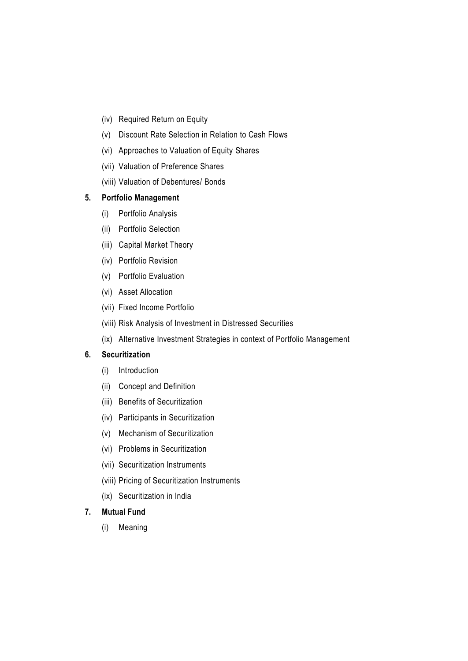- (iv) Required Return on Equity
- (v) Discount Rate Selection in Relation to Cash Flows
- (vi) Approaches to Valuation of Equity Shares
- (vii) Valuation of Preference Shares
- (viii) Valuation of Debentures/ Bonds

#### **5. Portfolio Management**

- (i) Portfolio Analysis
- (ii) Portfolio Selection
- (iii) Capital Market Theory
- (iv) Portfolio Revision
- (v) Portfolio Evaluation
- (vi) Asset Allocation
- (vii) Fixed Income Portfolio
- (viii) Risk Analysis of Investment in Distressed Securities
- (ix) Alternative Investment Strategies in context of Portfolio Management

#### **6. Securitization**

- (i) Introduction
- (ii) Concept and Definition
- (iii) Benefits of Securitization
- (iv) Participants in Securitization
- (v) Mechanism of Securitization
- (vi) Problems in Securitization
- (vii) Securitization Instruments
- (viii) Pricing of Securitization Instruments
- (ix) Securitization in India

## **7. Mutual Fund**

(i) Meaning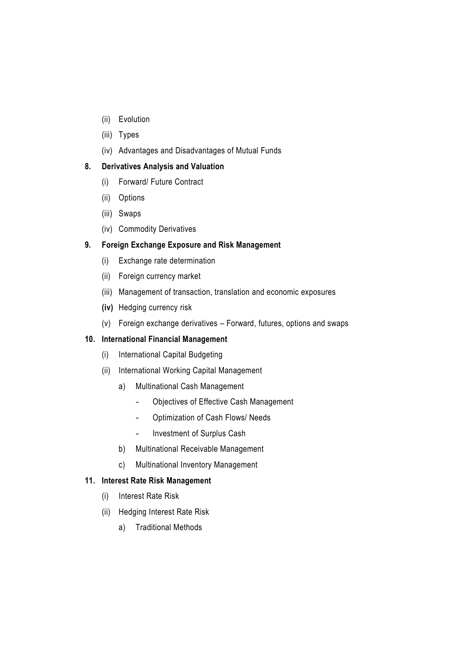- (ii) Evolution
- (iii) Types
- (iv) Advantages and Disadvantages of Mutual Funds

## **8. Derivatives Analysis and Valuation**

- (i) Forward/ Future Contract
- (ii) Options
- (iii) Swaps
- (iv) Commodity Derivatives

## **9. Foreign Exchange Exposure and Risk Management**

- (i) Exchange rate determination
- (ii) Foreign currency market
- (iii) Management of transaction, translation and economic exposures
- **(iv)** Hedging currency risk
- (v) Foreign exchange derivatives Forward, futures, options and swaps

## **10. International Financial Management**

- (i) International Capital Budgeting
- (ii) International Working Capital Management
	- a) Multinational Cash Management
		- Objectives of Effective Cash Management
		- Optimization of Cash Flows/ Needs
		- Investment of Surplus Cash
	- b) Multinational Receivable Management
	- c) Multinational Inventory Management

## **11. Interest Rate Risk Management**

- (i) Interest Rate Risk
- (ii) Hedging Interest Rate Risk
	- a) Traditional Methods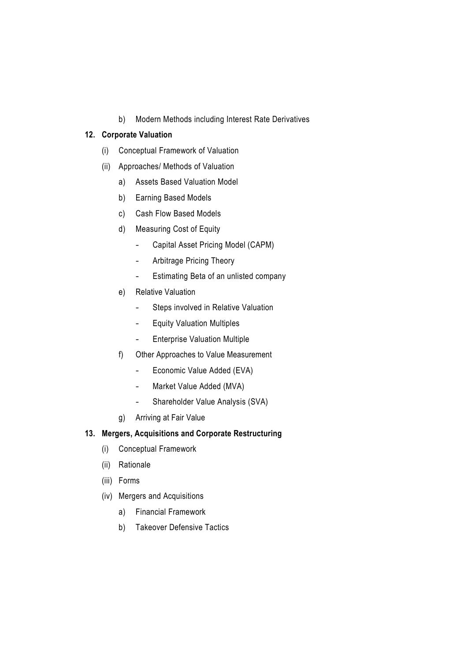b) Modern Methods including Interest Rate Derivatives

## **12. Corporate Valuation**

- (i) Conceptual Framework of Valuation
- (ii) Approaches/ Methods of Valuation
	- a) Assets Based Valuation Model
	- b) Earning Based Models
	- c) Cash Flow Based Models
	- d) Measuring Cost of Equity
		- Capital Asset Pricing Model (CAPM)
		- Arbitrage Pricing Theory
		- Estimating Beta of an unlisted company
	- e) Relative Valuation
		- Steps involved in Relative Valuation
		- Equity Valuation Multiples
		- Enterprise Valuation Multiple
	- f) Other Approaches to Value Measurement
		- Economic Value Added (EVA)
		- Market Value Added (MVA)
		- Shareholder Value Analysis (SVA)
	- g) Arriving at Fair Value

## **13. Mergers, Acquisitions and Corporate Restructuring**

- (i) Conceptual Framework
- (ii) Rationale
- (iii) Forms
- (iv) Mergers and Acquisitions
	- a) Financial Framework
	- b) Takeover Defensive Tactics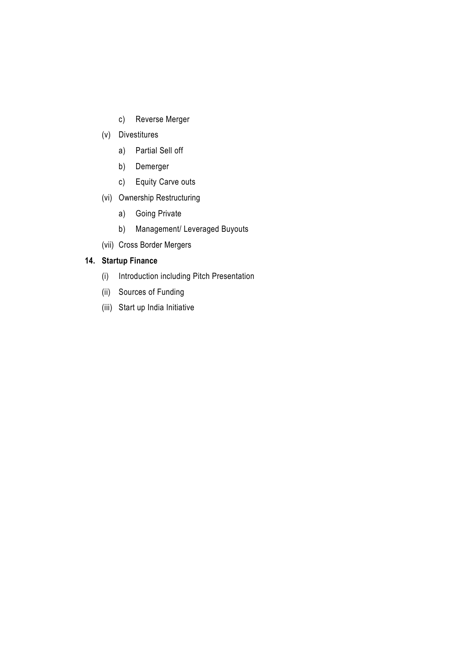- c) Reverse Merger
- (v) Divestitures
	- a) Partial Sell off
	- b) Demerger
	- c) Equity Carve outs
- (vi) Ownership Restructuring
	- a) Going Private
	- b) Management/ Leveraged Buyouts
- (vii) Cross Border Mergers

# **14. Startup Finance**

- (i) Introduction including Pitch Presentation
- (ii) Sources of Funding
- (iii) Start up India Initiative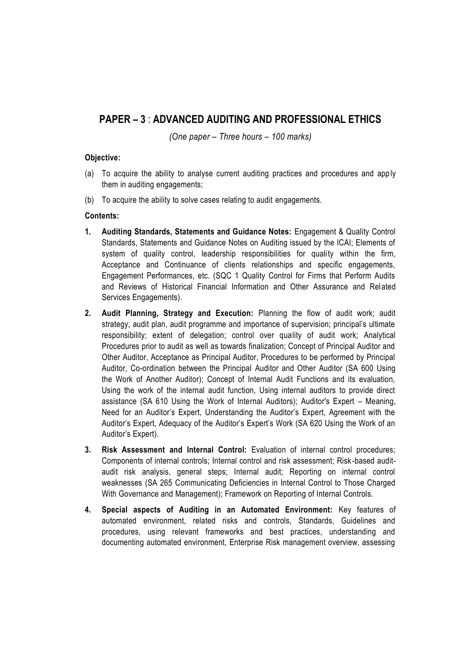# **PAPER – 3** : **ADVANCED AUDITING AND PROFESSIONAL ETHICS**

*(One paper – Three hours – 100 marks)*

#### **Objective:**

- (a) To acquire the ability to analyse current auditing practices and procedures and apply them in auditing engagements;
- (b) To acquire the ability to solve cases relating to audit engagements.

#### **Contents:**

- **1. Auditing Standards, Statements and Guidance Notes:** Engagement & Quality Control Standards, Statements and Guidance Notes on Auditing issued by the ICAI; Elements of system of quality control, leadership responsibilities for quality within the firm, Acceptance and Continuance of clients relationships and specific engagements, Engagement Performances, etc. (SQC 1 Quality Control for Firms that Perform Audits and Reviews of Historical Financial Information and Other Assurance and Related Services Engagements).
- **2. Audit Planning, Strategy and Execution:** Planning the flow of audit work; audit strategy, audit plan, audit programme and importance of supervision; principal's ultimate responsibility; extent of delegation; control over quality of audit work; Analytical Procedures prior to audit as well as towards finalization; Concept of Principal Auditor and Other Auditor, Acceptance as Principal Auditor, Procedures to be performed by Principal Auditor, Co-ordination between the Principal Auditor and Other Auditor (SA 600 Using the Work of Another Auditor); Concept of Internal Audit Functions and its evaluation, Using the work of the internal audit function, Using internal auditors to provide direct assistance (SA 610 Using the Work of Internal Auditors); Auditor's Expert – Meaning, Need for an Auditor's Expert, Understanding the Auditor's Expert, Agreement with the Auditor's Expert, Adequacy of the Auditor's Expert's Work (SA 620 Using the Work of an Auditor's Expert).
- **3. Risk Assessment and Internal Control:** Evaluation of internal control procedures; Components of internal controls; Internal control and risk assessment; Risk -based auditaudit risk analysis, general steps; Internal audit; Reporting on internal control weaknesses (SA 265 Communicating Deficiencies in Internal Control to Those Charged With Governance and Management); Framework on Reporting of Internal Controls.
- **4. Special aspects of Auditing in an Automated Environment:** Key features of automated environment, related risks and controls, Standards, Guidelines and procedures, using relevant frameworks and best practices, understanding and documenting automated environment, Enterprise Risk management overview, assessing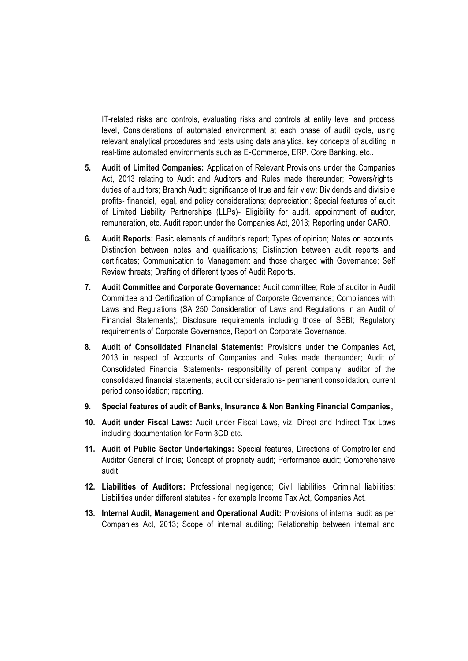IT-related risks and controls, evaluating risks and controls at entity level and process level, Considerations of automated environment at each phase of audit cycle, using relevant analytical procedures and tests using data analytics, key concepts of auditing in real-time automated environments such as E-Commerce, ERP, Core Banking, etc..

- **5. Audit of Limited Companies:** Application of Relevant Provisions under the Companies Act, 2013 relating to Audit and Auditors and Rules made thereunder; Powers/rights, duties of auditors; Branch Audit; significance of true and fair view; Dividends and divisible profits- financial, legal, and policy considerations; depreciation; Special features of audit of Limited Liability Partnerships (LLPs)- Eligibility for audit, appointment of auditor, remuneration, etc. Audit report under the Companies Act, 2013; Reporting under CARO.
- **6. Audit Reports:** Basic elements of auditor's report; Types of opinion; Notes on accounts; Distinction between notes and qualifications; Distinction between audit reports and certificates; Communication to Management and those charged with Governance; Self Review threats; Drafting of different types of Audit Reports.
- **7. Audit Committee and Corporate Governance:** Audit committee; Role of auditor in Audit Committee and Certification of Compliance of Corporate Governance; Compliances with Laws and Regulations (SA 250 Consideration of Laws and Regulations in an Audit of Financial Statements); Disclosure requirements including those of SEBI; Regulatory requirements of Corporate Governance, Report on Corporate Governance.
- **8. Audit of Consolidated Financial Statements:** Provisions under the Companies Act, 2013 in respect of Accounts of Companies and Rules made thereunder; Audit of Consolidated Financial Statements- responsibility of parent company, auditor of the consolidated financial statements; audit considerations- permanent consolidation, current period consolidation; reporting.
- **9. Special features of audit of Banks, Insurance & Non Banking Financial Companies,**
- **10. Audit under Fiscal Laws:** Audit under Fiscal Laws, viz, Direct and Indirect Tax Laws including documentation for Form 3CD etc.
- **11. Audit of Public Sector Undertakings:** Special features, Directions of Comptroller and Auditor General of India; Concept of propriety audit; Performance audit; Comprehensive audit.
- **12. Liabilities of Auditors:** Professional negligence; Civil liabilities; Criminal liabilities; Liabilities under different statutes - for example Income Tax Act, Companies Act.
- **13. Internal Audit, Management and Operational Audit:** Provisions of internal audit as per Companies Act, 2013; Scope of internal auditing; Relationship between internal and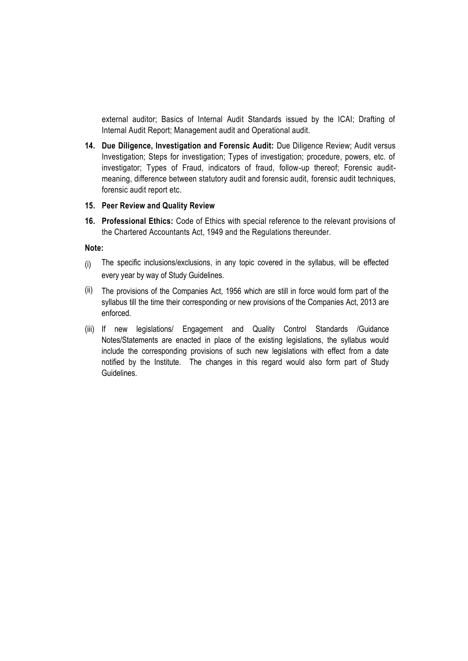external auditor; Basics of Internal Audit Standards issued by the ICAI; Drafting of Internal Audit Report; Management audit and Operational audit.

**14. Due Diligence, Investigation and Forensic Audit:** Due Diligence Review; Audit versus Investigation; Steps for investigation; Types of investigation; procedure, powers, etc. of investigator; Types of Fraud, indicators of fraud, follow-up thereof; Forensic auditmeaning, difference between statutory audit and forensic audit, forensic audit techniques, forensic audit report etc.

#### **15. Peer Review and Quality Review**

**16. Professional Ethics:** Code of Ethics with special reference to the relevant provisions of the Chartered Accountants Act, 1949 and the Regulations thereunder.

**Note:** 

- (i) The specific inclusions/exclusions, in any topic covered in the syllabus, will be effected every year by way of Study Guidelines.
- (ii) The provisions of the Companies Act, 1956 which are still in force would form part of the syllabus till the time their corresponding or new provisions of the Companies Act, 2013 are enforced.
- (iii) If new legislations/ Engagement and Quality Control Standards /Guidance Notes/Statements are enacted in place of the existing legislations, the syllabus would include the corresponding provisions of such new legislations with effect from a date notified by the Institute. The changes in this regard would also form part of Study Guidelines.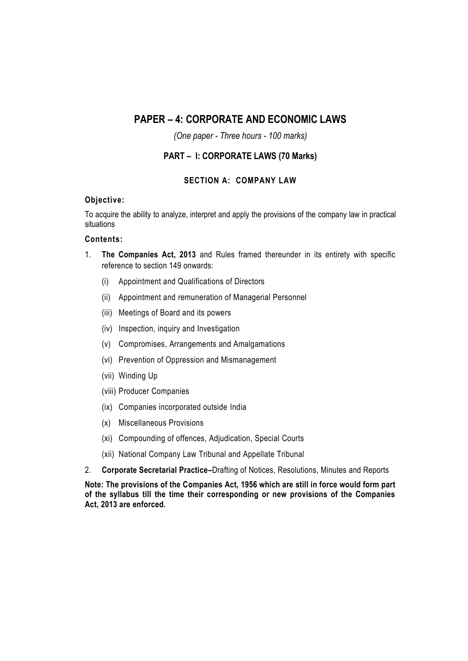# **PAPER – 4: CORPORATE AND ECONOMIC LAWS**

*(One paper - Three hours - 100 marks)*

## **PART – I: CORPORATE LAWS (70 Marks)**

#### **SECTION A: COMPANY LAW**

#### **Objective:**

To acquire the ability to analyze, interpret and apply the provisions of the company law in practical situations

#### **Contents:**

- 1. **The Companies Act, 2013** and Rules framed thereunder in its entirety with specific reference to section 149 onwards:
	- (i) Appointment and Qualifications of Directors
	- (ii) Appointment and remuneration of Managerial Personnel
	- (iii) Meetings of Board and its powers
	- (iv) Inspection, inquiry and Investigation
	- (v) Compromises, Arrangements and Amalgamations
	- (vi) Prevention of Oppression and Mismanagement
	- (vii) Winding Up
	- (viii) Producer Companies
	- (ix) Companies incorporated outside India
	- (x) Miscellaneous Provisions
	- (xi) Compounding of offences, Adjudication, Special Courts
	- (xii) National Company Law Tribunal and Appellate Tribunal
- 2. **Corporate Secretarial Practice–**Drafting of Notices, Resolutions, Minutes and Reports

**Note: The provisions of the Companies Act, 1956 which are still in force would form part of the syllabus till the time their corresponding or new provisions of the Companies Act, 2013 are enforced.**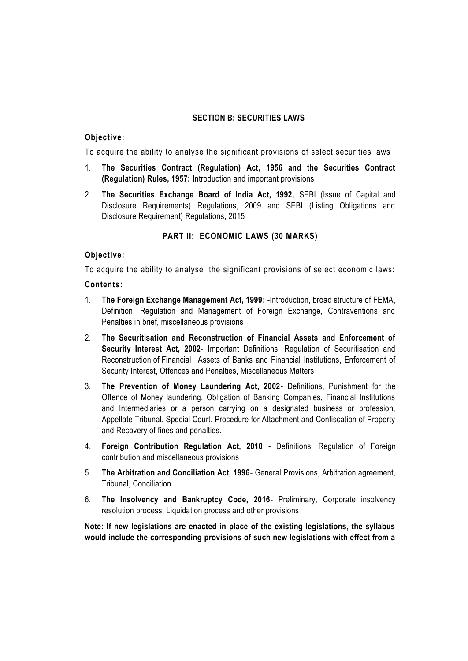## **SECTION B: SECURITIES LAWS**

#### **Objective:**

To acquire the ability to analyse the significant provisions of select securities laws

- 1. **The Securities Contract (Regulation) Act, 1956 and the Securities Contract (Regulation) Rules, 1957:** Introduction and important provisions
- 2. **The Securities Exchange Board of India Act, 1992,** SEBI (Issue of Capital and Disclosure Requirements) Regulations, 2009 and SEBI (Listing Obligations and Disclosure Requirement) Regulations, 2015

#### **PART II: ECONOMIC LAWS (30 MARKS)**

#### **Objective:**

To acquire the ability to analyse the significant provisions of select economic laws:

#### **Contents:**

- 1. **The Foreign Exchange Management Act, 1999:** -Introduction, broad structure of FEMA, Definition, Regulation and Management of Foreign Exchange, Contraventions and Penalties in brief, miscellaneous provisions
- 2. **The Securitisation and Reconstruction of Financial Assets and Enforcement of Security Interest Act, 2002-** Important Definitions, Regulation of Securitisation and Reconstruction of Financial Assets of Banks and Financial Institutions, Enforcement of Security Interest, Offences and Penalties, Miscellaneous Matters
- 3. **The Prevention of Money Laundering Act, 2002** Definitions, Punishment for the Offence of Money laundering, Obligation of Banking Companies, Financial Institutions and Intermediaries or a person carrying on a designated business or profession, Appellate Tribunal, Special Court, Procedure for Attachment and Confiscation of Property and Recovery of fines and penalties.
- 4. **Foreign Contribution Regulation Act, 2010** Definitions, Regulation of Foreign contribution and miscellaneous provisions
- 5. **The Arbitration and Conciliation Act, 1996** General Provisions, Arbitration agreement, Tribunal, Conciliation
- 6. **The Insolvency and Bankruptcy Code, 2016** Preliminary, Corporate insolvency resolution process, Liquidation process and other provisions

**Note: If new legislations are enacted in place of the existing legislations, the syllabus would include the corresponding provisions of such new legislations with effect from a**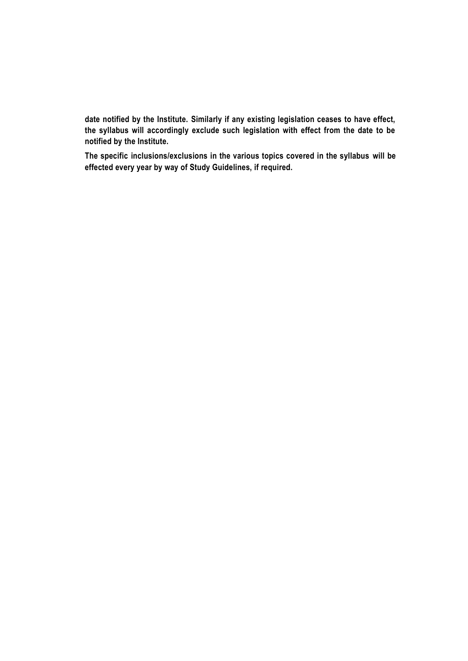**date notified by the Institute. Similarly if any existing legislation ceases to have effect, the syllabus will accordingly exclude such legislation with effect from the date to be notified by the Institute.**

**The specific inclusions/exclusions in the various topics covered in the syllabus will be effected every year by way of Study Guidelines, if required.**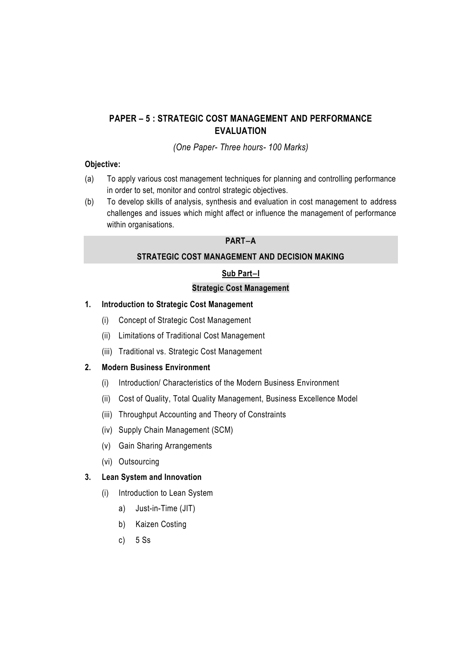# **PAPER – 5 : STRATEGIC COST MANAGEMENT AND PERFORMANCE EVALUATION**

*(One Paper- Three hours- 100 Marks)*

#### **Objective:**

- (a) To apply various cost management techniques for planning and controlling performance in order to set, monitor and control strategic objectives.
- (b) To develop skills of analysis, synthesis and evaluation in cost management to address challenges and issues which might affect or influence the management of performance within organisations.

#### **PART‒A**

#### **STRATEGIC COST MANAGEMENT AND DECISION MAKING**

## **Sub Part‒I**

## **Strategic Cost Management**

## **1. Introduction to Strategic Cost Management**

- (i) Concept of Strategic Cost Management
- (ii) Limitations of Traditional Cost Management
- (iii) Traditional vs. Strategic Cost Management

#### **2. Modern Business Environment**

- (i) Introduction/ Characteristics of the Modern Business Environment
- (ii) Cost of Quality, Total Quality Management, Business Excellence Model
- (iii) Throughput Accounting and Theory of Constraints
- (iv) Supply Chain Management (SCM)
- (v) Gain Sharing Arrangements
- (vi) Outsourcing

#### **3. Lean System and Innovation**

- (i) Introduction to Lean System
	- a) Just-in-Time (JIT)
	- b) Kaizen Costing
	- c) 5 Ss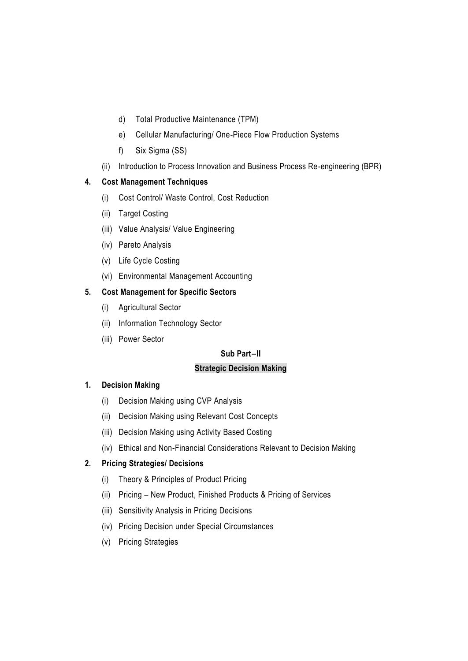- d) Total Productive Maintenance (TPM)
- e) Cellular Manufacturing/ One-Piece Flow Production Systems
- f) Six Sigma (SS)
- (ii) Introduction to Process Innovation and Business Process Re-engineering (BPR)

# **4. Cost Management Techniques**

- (i) Cost Control/ Waste Control, Cost Reduction
- (ii) Target Costing
- (iii) Value Analysis/ Value Engineering
- (iv) Pareto Analysis
- (v) Life Cycle Costing
- (vi) Environmental Management Accounting

# **5. Cost Management for Specific Sectors**

- (i) Agricultural Sector
- (ii) Information Technology Sector
- (iii) Power Sector

# **Sub Part‒II**

# **Strategic Decision Making**

# **1. Decision Making**

- (i) Decision Making using CVP Analysis
- (ii) Decision Making using Relevant Cost Concepts
- (iii) Decision Making using Activity Based Costing
- (iv) Ethical and Non-Financial Considerations Relevant to Decision Making

# **2. Pricing Strategies/ Decisions**

- (i) Theory & Principles of Product Pricing
- (ii) Pricing New Product, Finished Products & Pricing of Services
- (iii) Sensitivity Analysis in Pricing Decisions
- (iv) Pricing Decision under Special Circumstances
- (v) Pricing Strategies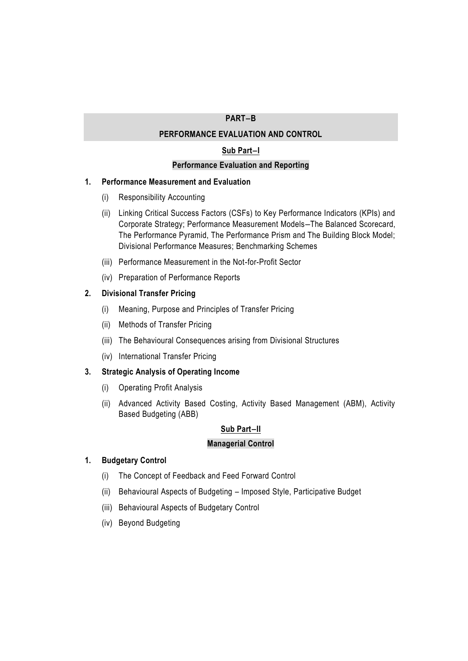## **PART‒B**

#### **PERFORMANCE EVALUATION AND CONTROL**

#### **Sub Part‒I**

#### **Performance Evaluation and Reporting**

#### **1. Performance Measurement and Evaluation**

- (i) Responsibility Accounting
- (ii) Linking Critical Success Factors (CSFs) to Key Performance Indicators (KPIs) and Corporate Strategy; Performance Measurement Models-The Balanced Scorecard, The Performance Pyramid, The Performance Prism and The Building Block Model; Divisional Performance Measures; Benchmarking Schemes
- (iii) Performance Measurement in the Not-for-Profit Sector
- (iv) Preparation of Performance Reports

#### **2. Divisional Transfer Pricing**

- (i) Meaning, Purpose and Principles of Transfer Pricing
- (ii) Methods of Transfer Pricing
- (iii) The Behavioural Consequences arising from Divisional Structures
- (iv) International Transfer Pricing

#### **3. Strategic Analysis of Operating Income**

- (i) Operating Profit Analysis
- (ii) Advanced Activity Based Costing, Activity Based Management (ABM), Activity Based Budgeting (ABB)

## **Sub Part‒II**

#### **Managerial Control**

#### **1. Budgetary Control**

- (i) The Concept of Feedback and Feed Forward Control
- (ii) Behavioural Aspects of Budgeting Imposed Style, Participative Budget
- (iii) Behavioural Aspects of Budgetary Control
- (iv) Beyond Budgeting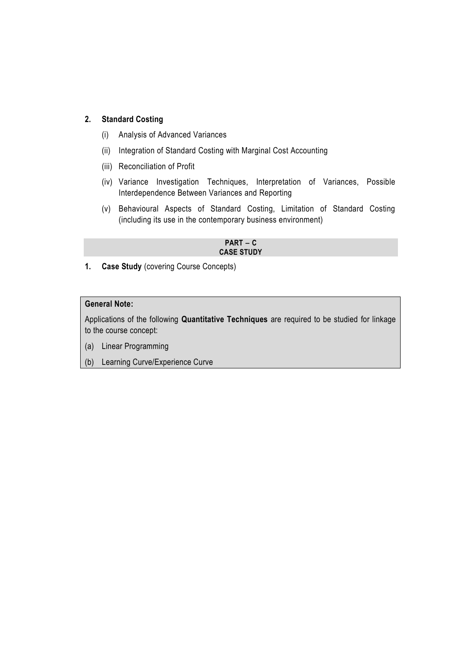## **2. Standard Costing**

- (i) Analysis of Advanced Variances
- (ii) Integration of Standard Costing with Marginal Cost Accounting
- (iii) Reconciliation of Profit
- (iv) Variance Investigation Techniques, Interpretation of Variances, Possible Interdependence Between Variances and Reporting
- (v) Behavioural Aspects of Standard Costing, Limitation of Standard Costing (including its use in the contemporary business environment)

 $PART - C$ **CASE STUDY**

**1. Case Study** (covering Course Concepts)

## **General Note:**

Applications of the following **Quantitative Techniques** are required to be studied for linkage to the course concept:

- (a) Linear Programming
- (b) Learning Curve/Experience Curve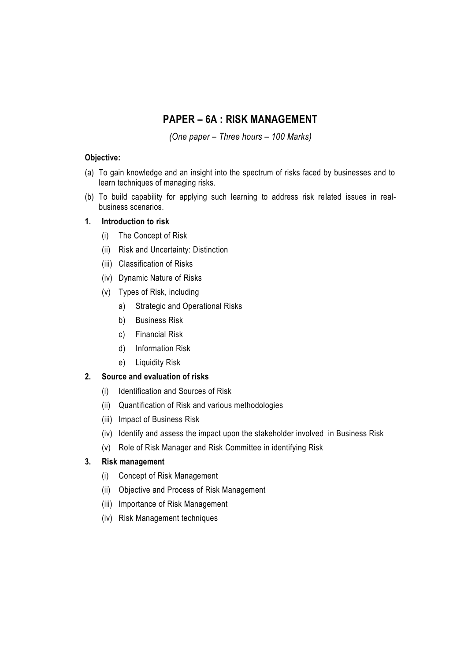# **PAPER – 6A : RISK MANAGEMENT**

*(One paper – Three hours – 100 Marks)*

## **Objective:**

- (a) To gain knowledge and an insight into the spectrum of risks faced by businesses and to learn techniques of managing risks.
- (b) To build capability for applying such learning to address risk related issues in realbusiness scenarios.

## **1. Introduction to risk**

- (i) The Concept of Risk
- (ii) Risk and Uncertainty: Distinction
- (iii) Classification of Risks
- (iv) Dynamic Nature of Risks
- (v) Types of Risk, including
	- a) Strategic and Operational Risks
	- b) Business Risk
	- c) Financial Risk
	- d) Information Risk
	- e) Liquidity Risk

## **2. Source and evaluation of risks**

- (i) Identification and Sources of Risk
- (ii) Quantification of Risk and various methodologies
- (iii) Impact of Business Risk
- (iv) Identify and assess the impact upon the stakeholder involved in Business Risk
- (v) Role of Risk Manager and Risk Committee in identifying Risk

## **3. Risk management**

- (i) Concept of Risk Management
- (ii) Objective and Process of Risk Management
- (iii) Importance of Risk Management
- (iv) Risk Management techniques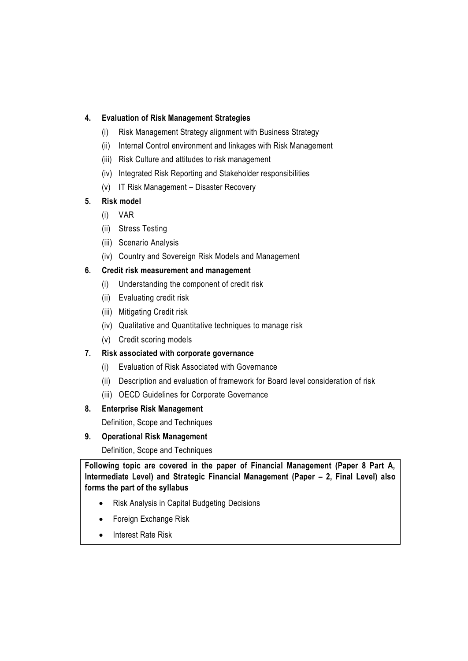## **4. Evaluation of Risk Management Strategies**

- (i) Risk Management Strategy alignment with Business Strategy
- (ii) Internal Control environment and linkages with Risk Management
- (iii) Risk Culture and attitudes to risk management
- (iv) Integrated Risk Reporting and Stakeholder responsibilities
- (v) IT Risk Management Disaster Recovery

## **5. Risk model**

- (i) VAR
- (ii) Stress Testing
- (iii) Scenario Analysis
- (iv) Country and Sovereign Risk Models and Management

## **6. Credit risk measurement and management**

- (i) Understanding the component of credit risk
- (ii) Evaluating credit risk
- (iii) Mitigating Credit risk
- (iv) Qualitative and Quantitative techniques to manage risk
- (v) Credit scoring models

# **7. Risk associated with corporate governance**

- (i) Evaluation of Risk Associated with Governance
- (ii) Description and evaluation of framework for Board level consideration of risk
- (iii) OECD Guidelines for Corporate Governance

## **8. Enterprise Risk Management**

Definition, Scope and Techniques

## **9. Operational Risk Management**

Definition, Scope and Techniques

**Following topic are covered in the paper of Financial Management (Paper 8 Part A, Intermediate Level) and Strategic Financial Management (Paper – 2, Final Level) also forms the part of the syllabus**

- Risk Analysis in Capital Budgeting Decisions
- Foreign Exchange Risk
- Interest Rate Risk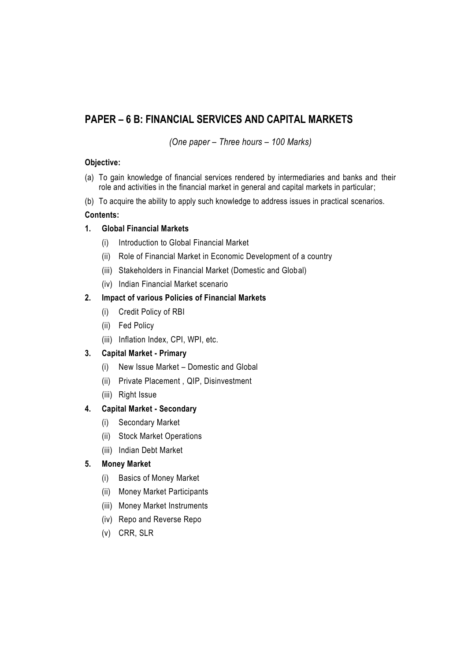# **PAPER – 6 B: FINANCIAL SERVICES AND CAPITAL MARKETS**

*(One paper – Three hours – 100 Marks)*

## **Objective:**

- (a) To gain knowledge of financial services rendered by intermediaries and banks and their role and activities in the financial market in general and capital markets in particular;
- (b) To acquire the ability to apply such knowledge to address issues in practical scenarios.

## **Contents:**

## **1. Global Financial Markets**

- (i) Introduction to Global Financial Market
- (ii) Role of Financial Market in Economic Development of a country
- (iii) Stakeholders in Financial Market (Domestic and Global)
- (iv) Indian Financial Market scenario

## **2. Impact of various Policies of Financial Markets**

- (i) Credit Policy of RBI
- (ii) Fed Policy
- (iii) Inflation Index, CPI, WPI, etc.

# **3. Capital Market - Primary**

- (i) New Issue Market Domestic and Global
- (ii) Private Placement , QIP, Disinvestment
- (iii) Right Issue

# **4. Capital Market - Secondary**

- (i) Secondary Market
- (ii) Stock Market Operations
- (iii) Indian Debt Market

## **5. Money Market**

- (i) Basics of Money Market
- (ii) Money Market Participants
- (iii) Money Market Instruments
- (iv) Repo and Reverse Repo
- (v) CRR, SLR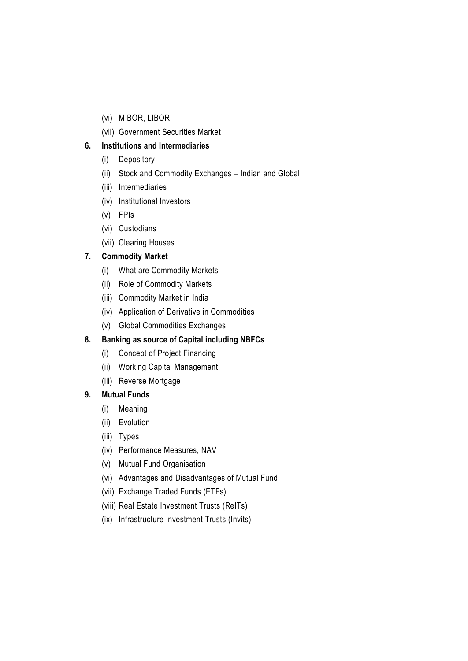- (vi) MIBOR, LIBOR
- (vii) Government Securities Market

## **6. Institutions and Intermediaries**

- (i) Depository
- (ii) Stock and Commodity Exchanges Indian and Global
- (iii) Intermediaries
- (iv) Institutional Investors
- (v) FPIs
- (vi) Custodians
- (vii) Clearing Houses

## **7. Commodity Market**

- (i) What are Commodity Markets
- (ii) Role of Commodity Markets
- (iii) Commodity Market in India
- (iv) Application of Derivative in Commodities
- (v) Global Commodities Exchanges

# **8. Banking as source of Capital including NBFCs**

- (i) Concept of Project Financing
- (ii) Working Capital Management
- (iii) Reverse Mortgage

## **9. Mutual Funds**

- (i) Meaning
- (ii) Evolution
- (iii) Types
- (iv) Performance Measures, NAV
- (v) Mutual Fund Organisation
- (vi) Advantages and Disadvantages of Mutual Fund
- (vii) Exchange Traded Funds (ETFs)
- (viii) Real Estate Investment Trusts (ReITs)
- (ix) Infrastructure Investment Trusts (Invits)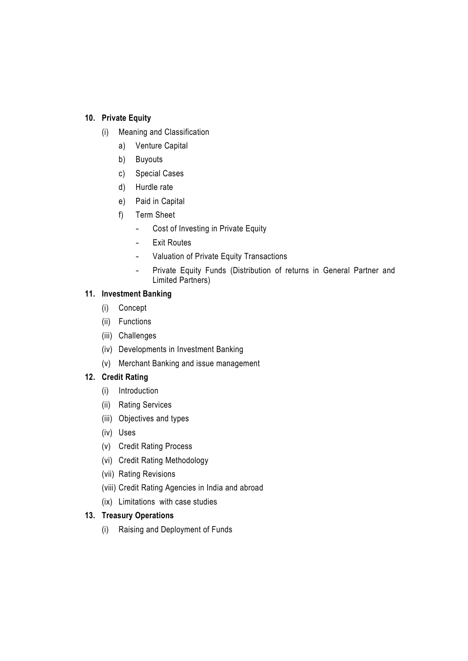## **10. Private Equity**

- (i) Meaning and Classification
	- a) Venture Capital
	- b) Buyouts
	- c) Special Cases
	- d) Hurdle rate
	- e) Paid in Capital
	- f) Term Sheet
		- Cost of Investing in Private Equity
		- Exit Routes
		- Valuation of Private Equity Transactions
		- Private Equity Funds (Distribution of returns in General Partner and Limited Partners)

# **11. Investment Banking**

- (i) Concept
- (ii) Functions
- (iii) Challenges
- (iv) Developments in Investment Banking
- (v) Merchant Banking and issue management

## **12. Credit Rating**

- (i) Introduction
- (ii) Rating Services
- (iii) Objectives and types
- (iv) Uses
- (v) Credit Rating Process
- (vi) Credit Rating Methodology
- (vii) Rating Revisions
- (viii) Credit Rating Agencies in India and abroad
- (ix) Limitations with case studies

## **13. Treasury Operations**

(i) Raising and Deployment of Funds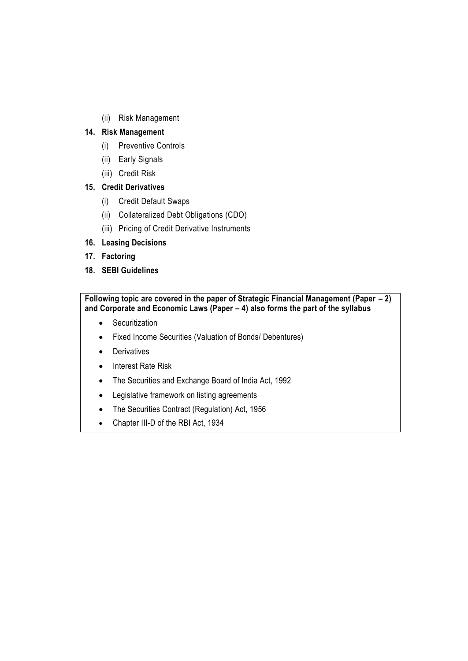(ii) Risk Management

## **14. Risk Management**

- (i) Preventive Controls
- (ii) Early Signals
- (iii) Credit Risk

## **15. Credit Derivatives**

- (i) Credit Default Swaps
- (ii) Collateralized Debt Obligations (CDO)
- (iii) Pricing of Credit Derivative Instruments
- **16. Leasing Decisions**
- **17. Factoring**
- **18. SEBI Guidelines**

**Following topic are covered in the paper of Strategic Financial Management (Paper – 2) and Corporate and Economic Laws (Paper – 4) also forms the part of the syllabus**

- Securitization
- Fixed Income Securities (Valuation of Bonds/ Debentures)
- Derivatives
- Interest Rate Risk
- The Securities and Exchange Board of India Act, 1992
- Legislative framework on listing agreements
- The Securities Contract (Regulation) Act, 1956
- Chapter III-D of the RBI Act, 1934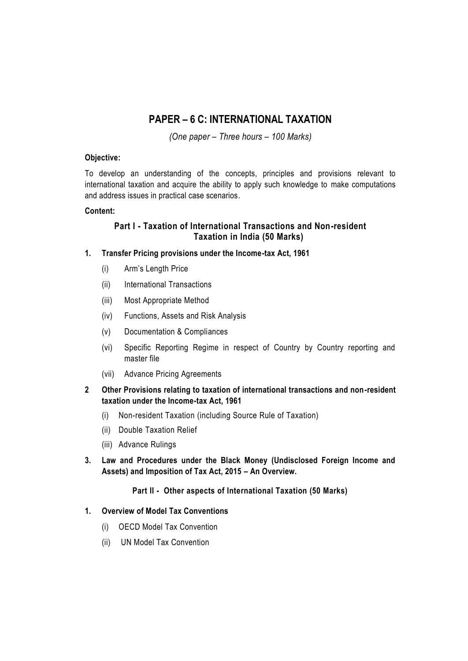# **PAPER – 6 C: INTERNATIONAL TAXATION**

*(One paper – Three hours – 100 Marks)*

#### **Objective:**

To develop an understanding of the concepts, principles and provisions relevant to international taxation and acquire the ability to apply such knowledge to make computations and address issues in practical case scenarios.

#### **Content:**

## **Part I - Taxation of International Transactions and Non-resident Taxation in India (50 Marks)**

## **1. Transfer Pricing provisions under the Income-tax Act, 1961**

- (i) Arm's Length Price
- (ii) International Transactions
- (iii) Most Appropriate Method
- (iv) Functions, Assets and Risk Analysis
- (v) Documentation & Compliances
- (vi) Specific Reporting Regime in respect of Country by Country reporting and master file
- (vii) Advance Pricing Agreements
- **2 Other Provisions relating to taxation of international transactions and non-resident taxation under the Income-tax Act, 1961**
	- (i) Non-resident Taxation (including Source Rule of Taxation)
	- (ii) Double Taxation Relief
	- (iii) Advance Rulings
- **3. Law and Procedures under the Black Money (Undisclosed Foreign Income and Assets) and Imposition of Tax Act, 2015 – An Overview.**

## **Part II - Other aspects of International Taxation (50 Marks)**

#### **1. Overview of Model Tax Conventions**

- (i) OECD Model Tax Convention
- (ii) UN Model Tax Convention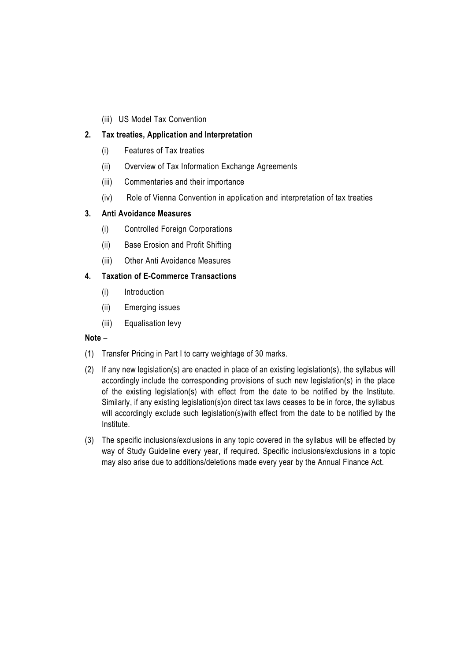(iii) US Model Tax Convention

# **2. Tax treaties, Application and Interpretation**

- (i) Features of Tax treaties
- (ii) Overview of Tax Information Exchange Agreements
- (iii) Commentaries and their importance
- (iv) Role of Vienna Convention in application and interpretation of tax treaties

## **3. Anti Avoidance Measures**

- (i) Controlled Foreign Corporations
- (ii) Base Erosion and Profit Shifting
- (iii) Other Anti Avoidance Measures

## **4. Taxation of E-Commerce Transactions**

- (i) Introduction
- (ii) Emerging issues
- (iii) Equalisation levy

## **Note** –

- (1) Transfer Pricing in Part I to carry weightage of 30 marks.
- (2) If any new legislation(s) are enacted in place of an existing legislation(s), the syllabus will accordingly include the corresponding provisions of such new legislation(s) in the place of the existing legislation(s) with effect from the date to be notified by the Institute. Similarly, if any existing legislation(s)on direct tax laws ceases to be in force, the syllabus will accordingly exclude such legislation(s)with effect from the date to be notified by the Institute.
- (3) The specific inclusions/exclusions in any topic covered in the syllabus will be effected by way of Study Guideline every year, if required. Specific inclusions/exclusions in a topic may also arise due to additions/deletions made every year by the Annual Finance Act.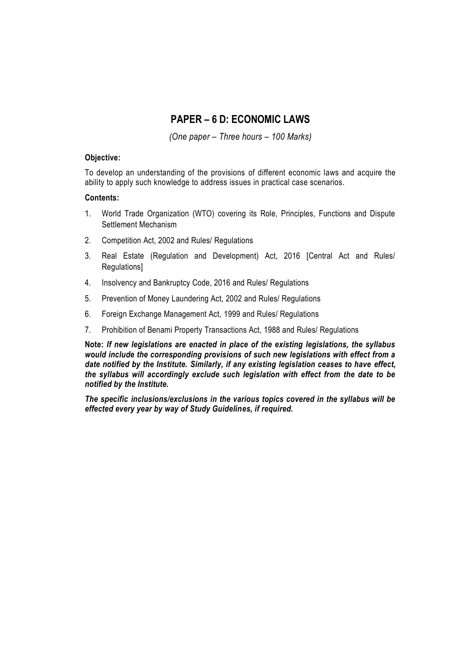# **PAPER – 6 D: ECONOMIC LAWS**

*(One paper – Three hours – 100 Marks)*

#### **Objective:**

To develop an understanding of the provisions of different economic laws and acquire the ability to apply such knowledge to address issues in practical case scenarios.

#### **Contents:**

- 1. World Trade Organization (WTO) covering its Role, Principles, Functions and Dispute Settlement Mechanism
- 2. Competition Act, 2002 and Rules/ Regulations
- 3. Real Estate (Regulation and Development) Act, 2016 [Central Act and Rules/ Regulations]
- 4. Insolvency and Bankruptcy Code, 2016 and Rules/ Regulations
- 5. Prevention of Money Laundering Act, 2002 and Rules/ Regulations
- 6. Foreign Exchange Management Act, 1999 and Rules/ Regulations
- 7. Prohibition of Benami Property Transactions Act, 1988 and Rules/ Regulations

**Note:** *If new legislations are enacted in place of the existing legislations, the syllabus would include the corresponding provisions of such new legislations with effect from a date notified by the Institute. Similarly, if any existing legislation ceases to have effect, the syllabus will accordingly exclude such legislation with effect from the date to be notified by the Institute.*

*The specific inclusions/exclusions in the various topics covered in the syllabus will be effected every year by way of Study Guidelines, if required.*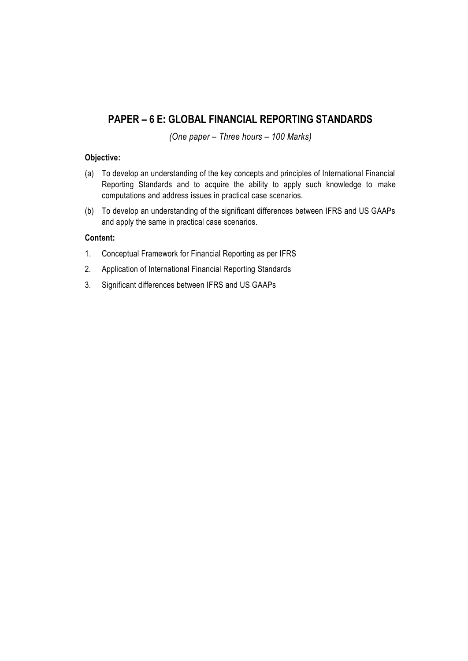# **PAPER – 6 E: GLOBAL FINANCIAL REPORTING STANDARDS**

*(One paper – Three hours – 100 Marks)*

#### **Objective:**

- (a) To develop an understanding of the key concepts and principles of International Financial Reporting Standards and to acquire the ability to apply such knowledge to make computations and address issues in practical case scenarios.
- (b) To develop an understanding of the significant differences between IFRS and US GAAPs and apply the same in practical case scenarios.

## **Content:**

- 1. Conceptual Framework for Financial Reporting as per IFRS
- 2. Application of International Financial Reporting Standards
- 3. Significant differences between IFRS and US GAAPs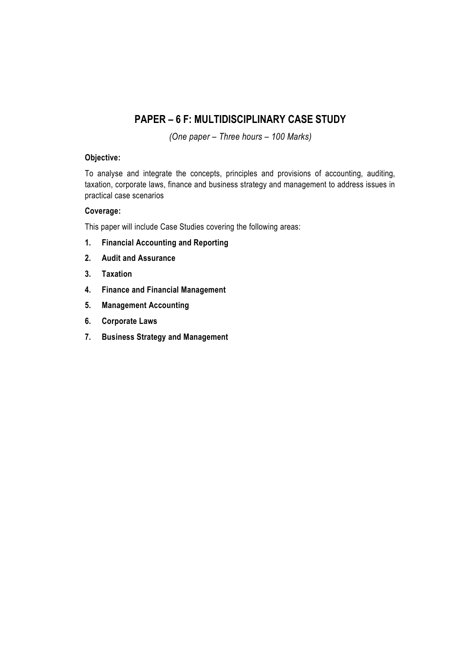# **PAPER – 6 F: MULTIDISCIPLINARY CASE STUDY**

*(One paper – Three hours – 100 Marks)*

#### **Objective:**

To analyse and integrate the concepts, principles and provisions of accounting, auditing, taxation, corporate laws, finance and business strategy and management to address issues in practical case scenarios

#### **Coverage:**

This paper will include Case Studies covering the following areas:

- **1. Financial Accounting and Reporting**
- **2. Audit and Assurance**
- **3. Taxation**
- **4. Finance and Financial Management**
- **5. Management Accounting**
- **6. Corporate Laws**
- **7. Business Strategy and Management**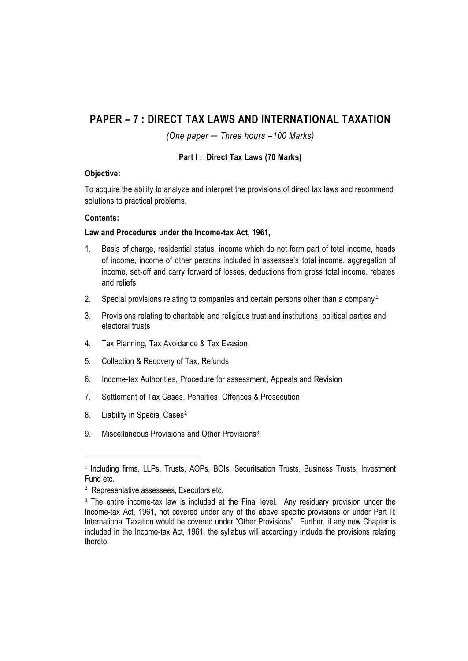# **PAPER – 7 : DIRECT TAX LAWS AND INTERNATIONAL TAXATION**

*(One paper ─ Three hours –100 Marks)*

## **Part I : Direct Tax Laws (70 Marks)**

## **Objective:**

To acquire the ability to analyze and interpret the provisions of direct tax laws and recommend solutions to practical problems.

## **Contents:**

#### **Law and Procedures under the Income-tax Act, 1961,**

- 1. Basis of charge, residential status, income which do not form part of total income, heads of income, income of other persons included in assessee's total income, aggregation of income, set-off and carry forward of losses, deductions from gross total income, rebates and reliefs
- 2. Special provisions relating to companies and certain persons other than a company<sup>1</sup>
- 3. Provisions relating to charitable and religious trust and institutions, political parties and electoral trusts
- 4. Tax Planning, Tax Avoidance & Tax Evasion
- 5. Collection & Recovery of Tax, Refunds
- 6. Income-tax Authorities, Procedure for assessment, Appeals and Revision
- 7. Settlement of Tax Cases, Penalties, Offences & Prosecution
- 8. Liability in Special Cases<sup>2</sup>

**.** 

9. Miscellaneous Provisions and Other Provisions<sup>3</sup>

<sup>&</sup>lt;sup>1</sup> Including firms, LLPs, Trusts, AOPs, BOIs, Securitsation Trusts, Business Trusts, Investment Fund etc.

<sup>2</sup> Representative assessees, Executors etc.

<sup>&</sup>lt;sup>3</sup> The entire income-tax law is included at the Final level. Any residuary provision under the Income-tax Act, 1961, not covered under any of the above specific provisions or under Part II: International Taxation would be covered under "Other Provisions". Further, if any new Chapter is included in the Income-tax Act, 1961, the syllabus will accordingly include the provisions relating thereto.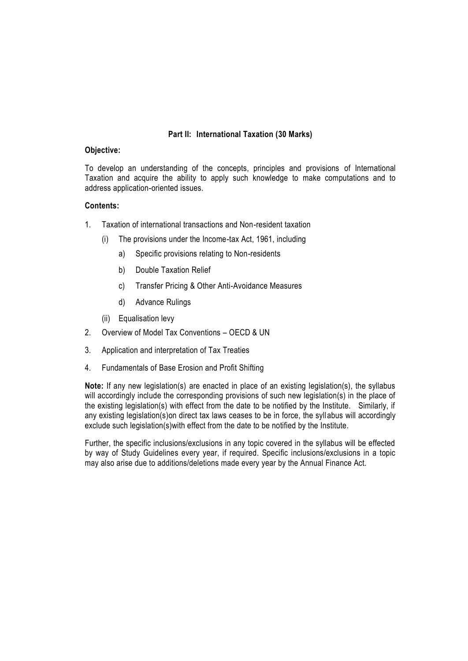## **Part II: International Taxation (30 Marks)**

#### **Objective:**

To develop an understanding of the concepts, principles and provisions of International Taxation and acquire the ability to apply such knowledge to make computations and to address application-oriented issues.

#### **Contents:**

- 1. Taxation of international transactions and Non-resident taxation
	- (i) The provisions under the Income-tax Act, 1961, including
		- a) Specific provisions relating to Non-residents
		- b) Double Taxation Relief
		- c) Transfer Pricing & Other Anti-Avoidance Measures
		- d) Advance Rulings
	- (ii) Equalisation levy
- 2. Overview of Model Tax Conventions OECD & UN
- 3. Application and interpretation of Tax Treaties
- 4. Fundamentals of Base Erosion and Profit Shifting

**Note:** If any new legislation(s) are enacted in place of an existing legislation(s), the syllabus will accordingly include the corresponding provisions of such new legislation(s) in the place of the existing legislation(s) with effect from the date to be notified by the Institute. Similarly, if any existing legislation(s)on direct tax laws ceases to be in force, the syllabus will accordingly exclude such legislation(s)with effect from the date to be notified by the Institute.

Further, the specific inclusions/exclusions in any topic covered in the syllabus will be effected by way of Study Guidelines every year, if required. Specific inclusions/exclusions in a topic may also arise due to additions/deletions made every year by the Annual Finance Act.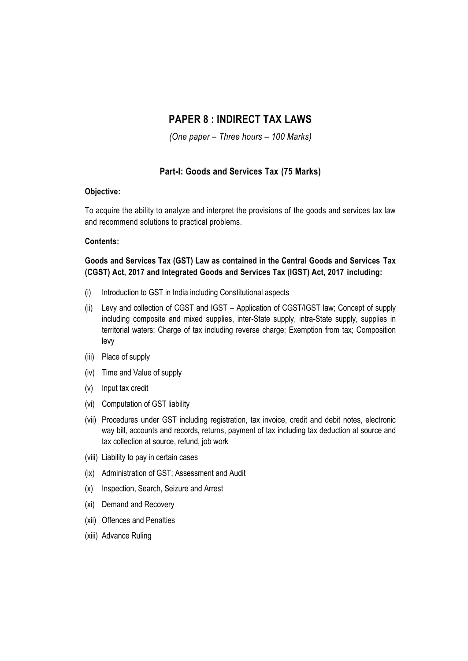# **PAPER 8 : INDIRECT TAX LAWS**

*(One paper – Three hours – 100 Marks)*

## **Part-I: Goods and Services Tax (75 Marks)**

#### **Objective:**

To acquire the ability to analyze and interpret the provisions of the goods and services tax law and recommend solutions to practical problems.

#### **Contents:**

## **Goods and Services Tax (GST) Law as contained in the Central Goods and Services Tax (CGST) Act, 2017 and Integrated Goods and Services Tax (IGST) Act, 2017 including:**

- (i) Introduction to GST in India including Constitutional aspects
- (ii) Levy and collection of CGST and IGST Application of CGST/IGST law; Concept of supply including composite and mixed supplies, inter-State supply, intra-State supply, supplies in territorial waters; Charge of tax including reverse charge; Exemption from tax; Composition levy
- (iii) Place of supply
- (iv) Time and Value of supply
- (v) Input tax credit
- (vi) Computation of GST liability
- (vii) Procedures under GST including registration, tax invoice, credit and debit notes, electronic way bill, accounts and records, returns, payment of tax including tax deduction at source and tax collection at source, refund, job work
- (viii) Liability to pay in certain cases
- (ix) Administration of GST; Assessment and Audit
- (x) Inspection, Search, Seizure and Arrest
- (xi) Demand and Recovery
- (xii) Offences and Penalties
- (xiii) Advance Ruling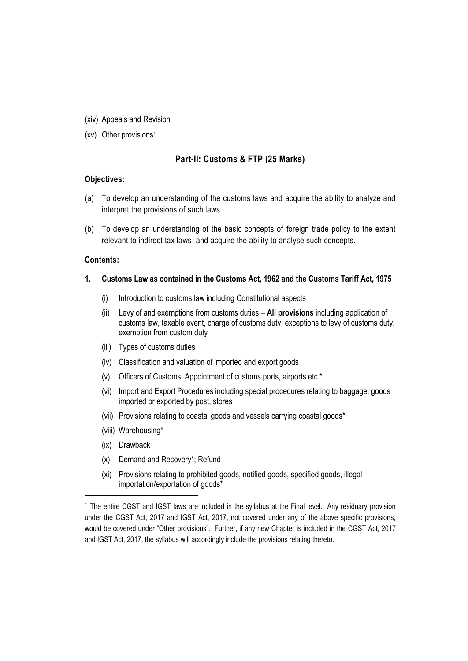- (xiv) Appeals and Revision
- (xv) Other provisions<sup>1</sup>

#### **Part-II: Customs & FTP (25 Marks)**

#### **Objectives:**

- (a) To develop an understanding of the customs laws and acquire the ability to analyze and interpret the provisions of such laws.
- (b) To develop an understanding of the basic concepts of foreign trade policy to the extent relevant to indirect tax laws, and acquire the ability to analyse such concepts.

#### **Contents:**

- **1. Customs Law as contained in the Customs Act, 1962 and the Customs Tariff Act, 1975**
	- (i) Introduction to customs law including Constitutional aspects
	- (ii) Levy of and exemptions from customs duties **All provisions** including application of customs law, taxable event, charge of customs duty, exceptions to levy of customs duty, exemption from custom duty
	- (iii) Types of customs duties
	- (iv) Classification and valuation of imported and export goods
	- (v) Officers of Customs; Appointment of customs ports, airports etc.\*
	- (vi) Import and Export Procedures including special procedures relating to baggage, goods imported or exported by post, stores
	- (vii) Provisions relating to coastal goods and vessels carrying coastal goods\*
	- (viii) Warehousing\*
	- (ix) Drawback

**.** 

- (x) Demand and Recovery\*; Refund
- (xi) Provisions relating to prohibited goods, notified goods, specified goods, illegal importation/exportation of goods\*

<sup>&</sup>lt;sup>1</sup> The entire CGST and IGST laws are included in the syllabus at the Final level. Any residuary provision under the CGST Act, 2017 and IGST Act, 2017, not covered under any of the above specific provisions, would be covered under "Other provisions". Further, if any new Chapter is included in the CGST Act, 2017 and IGST Act, 2017, the syllabus will accordingly include the provisions relating thereto.